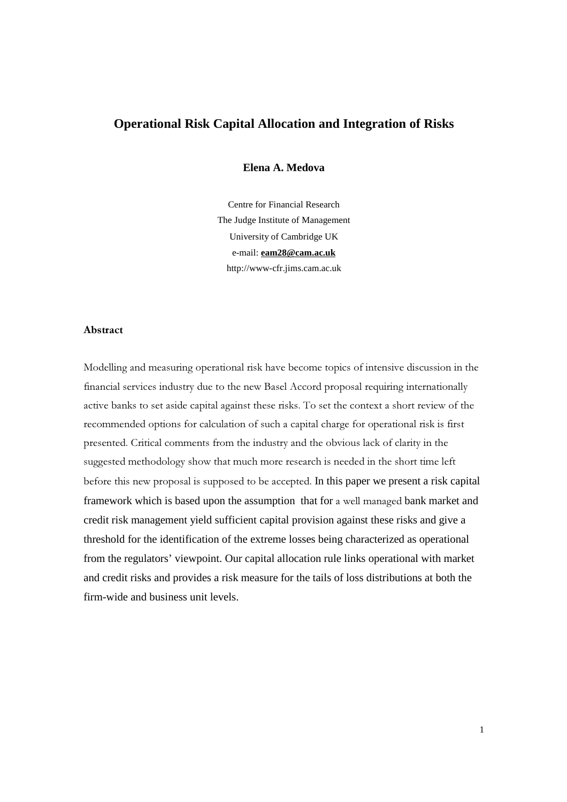# **Operational Risk Capital Allocation and Integration of Risks**

**Elena A. Medova**

Centre for Financial Research The Judge Institute of Management University of Cambridge UK e-mail: **eam28@cam.ac.uk** http://www-cfr.jims.cam.ac.uk

## **Abstract**

Modelling and measuring operational risk have become topics of intensive discussion in the financial services industry due to the new Basel Accord proposal requiring internationally active banks to set aside capital against these risks. To set the context a short review of the recommended options for calculation of such a capital charge for operational risk is first presented. Critical comments from the industry and the obvious lack of clarity in the suggested methodology show that much more research is needed in the short time left before this new proposal is supposed to be accepted. In this paper we present a risk capital framework which is based upon the assumption that for a well managed bank market and credit risk management yield sufficient capital provision against these risks and give a threshold for the identification of the extreme losses being characterized as operational from the regulators' viewpoint. Our capital allocation rule links operational with market and credit risks and provides a risk measure for the tails of loss distributions at both the firm-wide and business unit levels.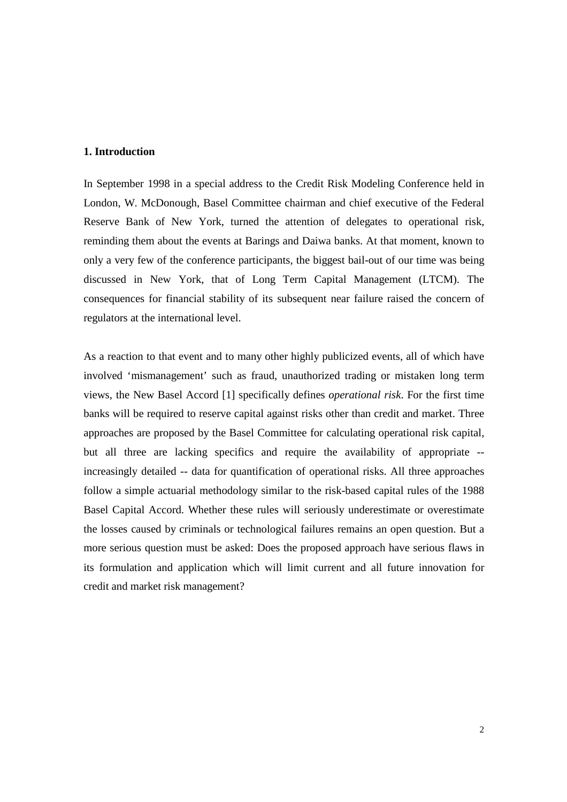## **1. Introduction**

In September 1998 in a special address to the Credit Risk Modeling Conference held in London, W. McDonough, Basel Committee chairman and chief executive of the Federal Reserve Bank of New York, turned the attention of delegates to operational risk, reminding them about the events at Barings and Daiwa banks. At that moment, known to only a very few of the conference participants, the biggest bail-out of our time was being discussed in New York, that of Long Term Capital Management (LTCM). The consequences for financial stability of its subsequent near failure raised the concern of regulators at the international level.

As a reaction to that event and to many other highly publicized events, all of which have involved 'mismanagement' such as fraud, unauthorized trading or mistaken long term views, the New Basel Accord [1] specifically defines *operational risk*. For the first time banks will be required to reserve capital against risks other than credit and market. Three approaches are proposed by the Basel Committee for calculating operational risk capital, but all three are lacking specifics and require the availability of appropriate - increasingly detailed -- data for quantification of operational risks. All three approaches follow a simple actuarial methodology similar to the risk-based capital rules of the 1988 Basel Capital Accord. Whether these rules will seriously underestimate or overestimate the losses caused by criminals or technological failures remains an open question. But a more serious question must be asked: Does the proposed approach have serious flaws in its formulation and application which will limit current and all future innovation for credit and market risk management?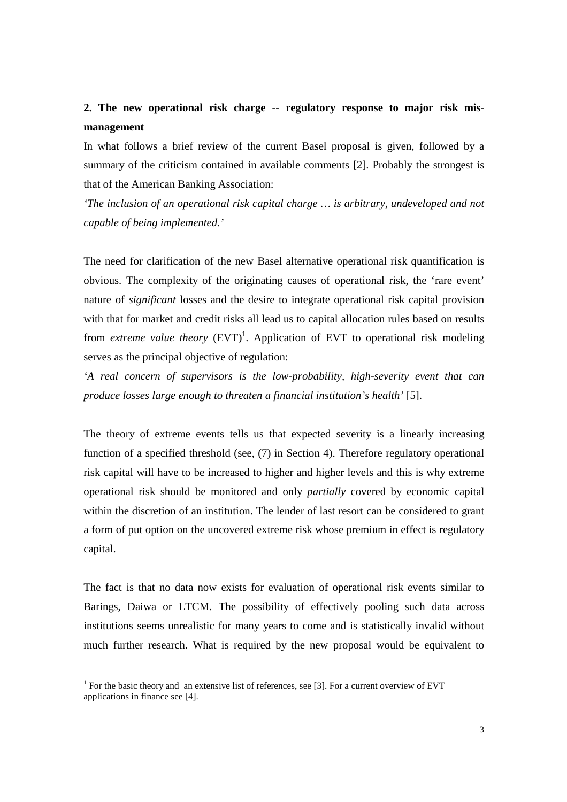# **2. The new operational risk charge -- regulatory response to major risk mismanagement**

In what follows a brief review of the current Basel proposal is given, followed by a summary of the criticism contained in available comments [2]. Probably the strongest is that of the American Banking Association:

*'The inclusion of an operational risk capital charge … is arbitrary, undeveloped and not capable of being implemented.'*

The need for clarification of the new Basel alternative operational risk quantification is obvious. The complexity of the originating causes of operational risk, the 'rare event' nature of *significant* losses and the desire to integrate operational risk capital provision with that for market and credit risks all lead us to capital allocation rules based on results from *extreme value theory* (EVT) 1 . Application of EVT to operational risk modeling serves as the principal objective of regulation:

*'A real concern of supervisors is the low-probability, high-severity event that can produce losses large enough to threaten a financial institution's health'* [5].

The theory of extreme events tells us that expected severity is a linearly increasing function of a specified threshold (see, (7) in Section 4). Therefore regulatory operational risk capital will have to be increased to higher and higher levels and this is why extreme operational risk should be monitored and only *partially* covered by economic capital within the discretion of an institution. The lender of last resort can be considered to grant a form of put option on the uncovered extreme risk whose premium in effect is regulatory capital.

The fact is that no data now exists for evaluation of operational risk events similar to Barings, Daiwa or LTCM. The possibility of effectively pooling such data across institutions seems unrealistic for many years to come and is statistically invalid without much further research. What is required by the new proposal would be equivalent to

<sup>&</sup>lt;sup>1</sup> For the basic theory and an extensive list of references, see [3]. For a current overview of EVT applications in finance see [4].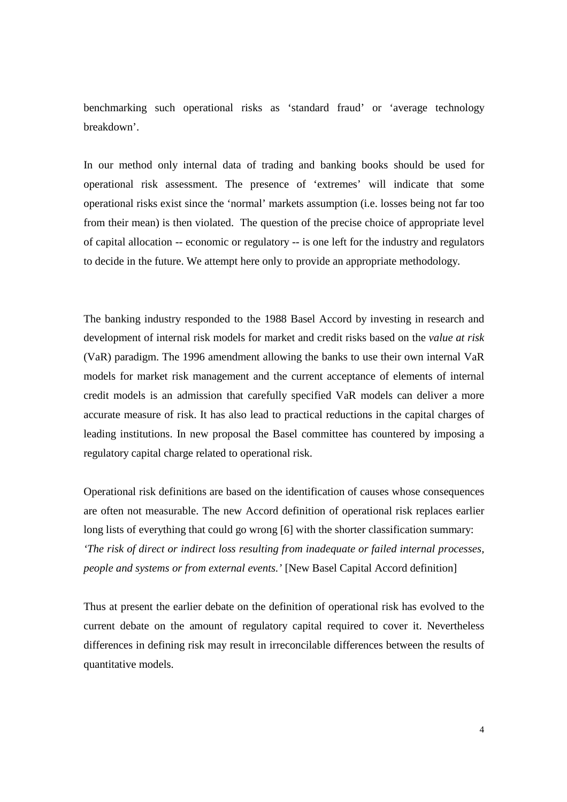benchmarking such operational risks as 'standard fraud' or 'average technology breakdown'.

In our method only internal data of trading and banking books should be used for operational risk assessment. The presence of 'extremes' will indicate that some operational risks exist since the 'normal' markets assumption (i.e. losses being not far too from their mean) is then violated. The question of the precise choice of appropriate level of capital allocation -- economic or regulatory -- is one left for the industry and regulators to decide in the future. We attempt here only to provide an appropriate methodology.

The banking industry responded to the 1988 Basel Accord by investing in research and development of internal risk models for market and credit risks based on the *value at risk* (VaR) paradigm. The 1996 amendment allowing the banks to use their own internal VaR models for market risk management and the current acceptance of elements of internal credit models is an admission that carefully specified VaR models can deliver a more accurate measure of risk. It has also lead to practical reductions in the capital charges of leading institutions. In new proposal the Basel committee has countered by imposing a regulatory capital charge related to operational risk.

Operational risk definitions are based on the identification of causes whose consequences are often not measurable. The new Accord definition of operational risk replaces earlier long lists of everything that could go wrong [6] with the shorter classification summary: *'The risk of direct or indirect loss resulting from inadequate or failed internal processes, people and systems or from external events.'* [New Basel Capital Accord definition]

Thus at present the earlier debate on the definition of operational risk has evolved to the current debate on the amount of regulatory capital required to cover it. Nevertheless differences in defining risk may result in irreconcilable differences between the results of quantitative models.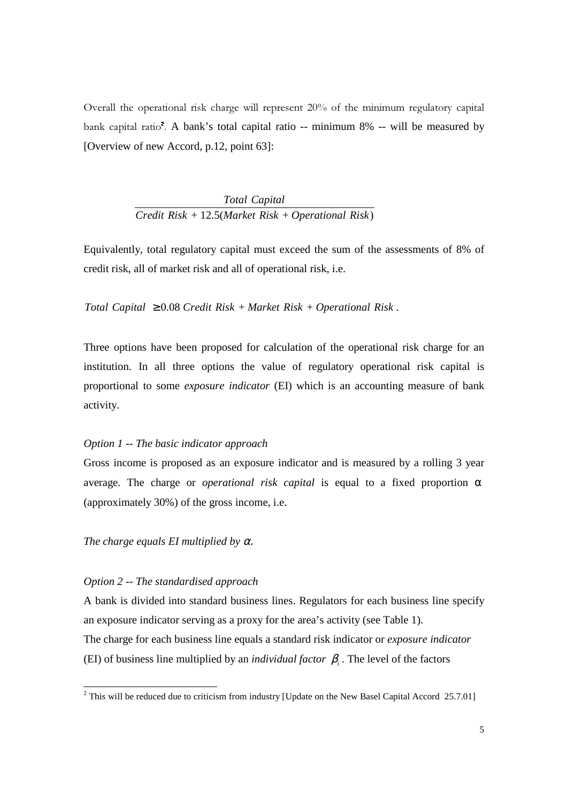Overall the operational risk charge will represent  $20\%$  of the minimum regulatory capital bank capital ratio<sup>2</sup>. A bank's total capital ratio -- minimum 8% -- will be measured by [Overview of new Accord, p.12, point 63]:

> + 12.5( + ) *Credit Risk Market Risk Operational RiskTotal Capital*

Equivalently, total regulatory capital must exceed the sum of the assessments of 8% of credit risk, all of market risk and all of operational risk, i.e.

*Total Capital*  $\geq 0.08$  *Credit Risk* + *Market Risk* + *Operational Risk*.

Three options have been proposed for calculation of the operational risk charge for an institution. In all three options the value of regulatory operational risk capital is proportional to some *exposure indicator* (EI) which is an accounting measure of bank activity.

#### *Option 1 -- The basic indicator approach*

Gross income is proposed as an exposure indicator and is measured by a rolling 3 year average. The charge or *operational risk capital* is equal to a fixed proportion α (approximately 30%) of the gross income, i.e.

## *The charge equals EI multiplied by* α.

## *Option 2 -- The standardised approach*

 $\overline{a}$ 

A bank is divided into standard business lines. Regulators for each business line specify an exposure indicator serving as a proxy for the area's activity (see Table 1). The charge for each business line equals a standard risk indicator or *exposure indicator* (EI) of business line multiplied by an *individual factor*  $\beta$ <sub>*i*</sub>. The level of the factors

<sup>&</sup>lt;sup>2</sup> This will be reduced due to criticism from industry [Update on the New Basel Capital Accord 25.7.01]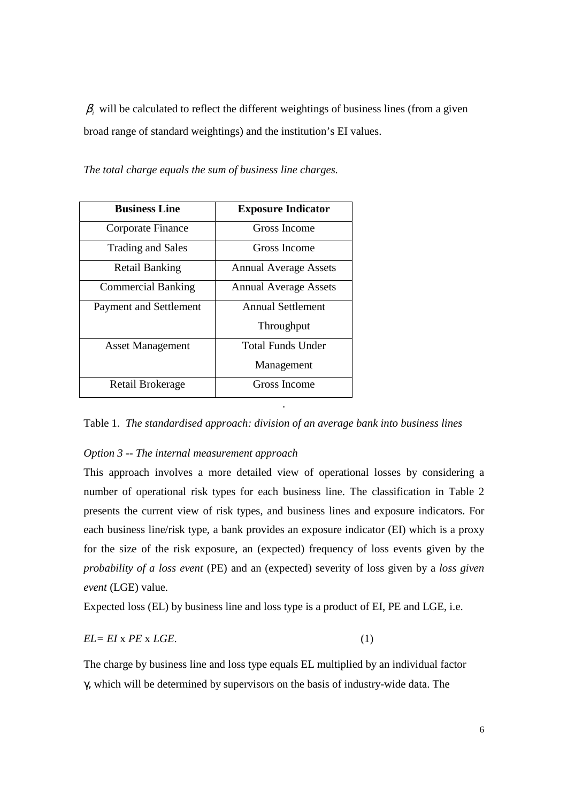$\beta$ <sub>i</sub> will be calculated to reflect the different weightings of business lines (from a given broad range of standard weightings) and the institution's EI values.

*The total charge equals the sum of business line charges.*

| <b>Business Line</b>          | <b>Exposure Indicator</b>    |  |  |
|-------------------------------|------------------------------|--|--|
| Corporate Finance             | Gross Income                 |  |  |
| <b>Trading and Sales</b>      | Gross Income                 |  |  |
| <b>Retail Banking</b>         | <b>Annual Average Assets</b> |  |  |
| <b>Commercial Banking</b>     | <b>Annual Average Assets</b> |  |  |
| <b>Payment and Settlement</b> | <b>Annual Settlement</b>     |  |  |
|                               | Throughput                   |  |  |
| <b>Asset Management</b>       | Total Funds Under            |  |  |
|                               | Management                   |  |  |
| Retail Brokerage              | Gross Income                 |  |  |

Table 1. *The standardised approach: division of an average bank into business lines*

.

## *Option 3 -- The internal measurement approach*

This approach involves a more detailed view of operational losses by considering a number of operational risk types for each business line. The classification in Table 2 presents the current view of risk types, and business lines and exposure indicators. For each business line/risk type, a bank provides an exposure indicator (EI) which is a proxy for the size of the risk exposure, an (expected) frequency of loss events given by the *probability of a loss event* (PE) and an (expected) severity of loss given by a *loss given event* (LGE) value.

Expected loss (EL) by business line and loss type is a product of EI, PE and LGE, i.e.

$$
EL = EI \times PE \times LGE.
$$
 (1)

The charge by business line and loss type equals EL multiplied by an individual factor γ, which will be determined by supervisors on the basis of industry-wide data. The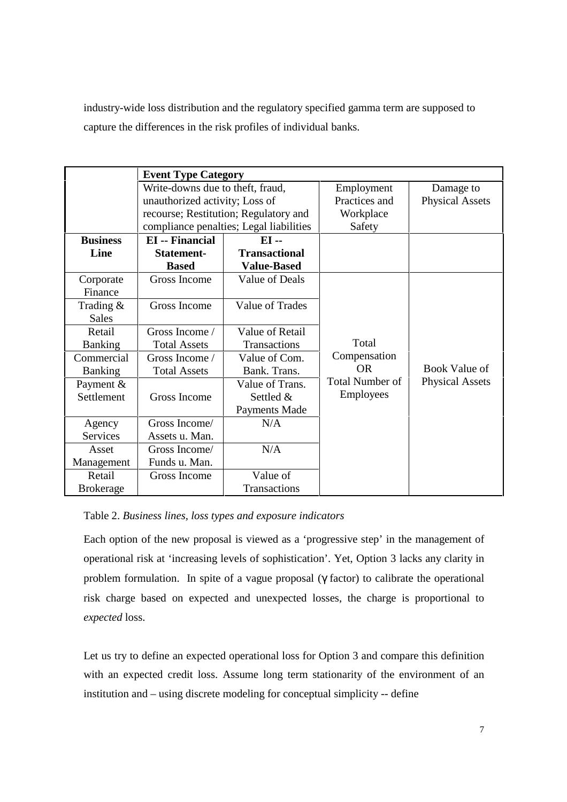industry-wide loss distribution and the regulatory specified gamma term are supposed to capture the differences in the risk profiles of individual banks.

|                  | <b>Event Type Category</b>       |                                         |                        |                        |
|------------------|----------------------------------|-----------------------------------------|------------------------|------------------------|
|                  | Write-downs due to theft, fraud, |                                         | Employment             | Damage to              |
|                  | unauthorized activity; Loss of   |                                         | Practices and          | <b>Physical Assets</b> |
|                  |                                  | recourse; Restitution; Regulatory and   | Workplace              |                        |
|                  |                                  | compliance penalties; Legal liabilities | Safety                 |                        |
| <b>Business</b>  | <b>EI</b> -- Financial<br>$EI -$ |                                         |                        |                        |
| Line             | <b>Statement-</b>                | <b>Transactional</b>                    |                        |                        |
|                  | <b>Based</b>                     | <b>Value-Based</b>                      |                        |                        |
| Corporate        | Gross Income                     | <b>Value of Deals</b>                   |                        |                        |
| Finance          |                                  |                                         |                        |                        |
| Trading &        | Gross Income                     | Value of Trades                         |                        |                        |
| <b>Sales</b>     |                                  |                                         |                        |                        |
| Retail           | Gross Income /                   | Value of Retail                         |                        |                        |
| <b>Banking</b>   | <b>Total Assets</b>              | <b>Transactions</b>                     | Total                  |                        |
| Commercial       | Gross Income /                   | Value of Com.                           | Compensation           |                        |
| <b>Banking</b>   | <b>Total Assets</b>              | Bank. Trans.                            | <b>OR</b>              | <b>Book Value of</b>   |
| Payment &        |                                  | Value of Trans.                         | <b>Total Number of</b> | <b>Physical Assets</b> |
| Settlement       | Gross Income                     | Settled &                               | Employees              |                        |
|                  |                                  | <b>Payments Made</b>                    |                        |                        |
| Agency           | Gross Income/                    | N/A                                     |                        |                        |
| Services         | Assets u. Man.                   |                                         |                        |                        |
| Asset            | Gross Income/                    | N/A                                     |                        |                        |
| Management       | Funds u. Man.                    |                                         |                        |                        |
| Retail           | Gross Income                     | Value of                                |                        |                        |
| <b>Brokerage</b> |                                  | Transactions                            |                        |                        |

## Table 2. *Business lines, loss types and exposure indicators*

Each option of the new proposal is viewed as a 'progressive step' in the management of operational risk at 'increasing levels of sophistication'. Yet, Option 3 lacks any clarity in problem formulation. In spite of a vague proposal (γ factor) to calibrate the operational risk charge based on expected and unexpected losses, the charge is proportional to *expected* loss.

Let us try to define an expected operational loss for Option 3 and compare this definition with an expected credit loss. Assume long term stationarity of the environment of an institution and – using discrete modeling for conceptual simplicity -- define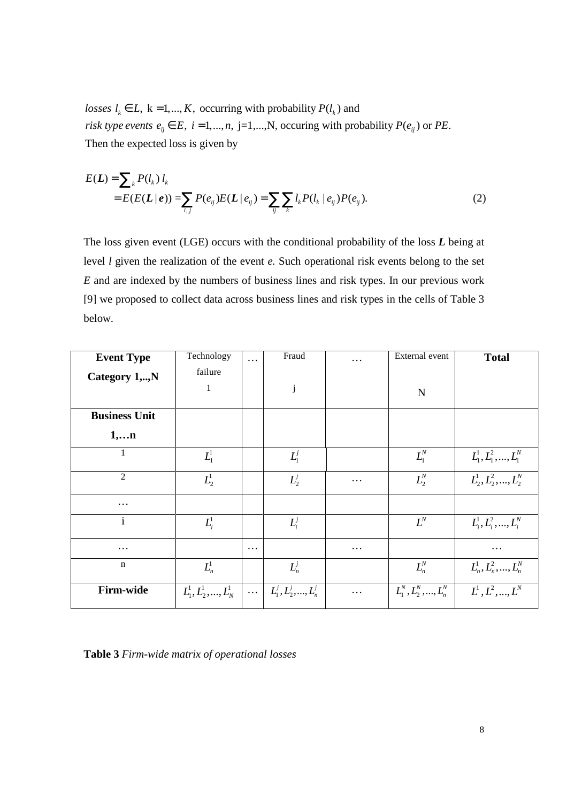*losses*  $l_k \in L$ ,  $k = 1,..., K$ , occurring with probability  $P(l_k)$  and *risk type events*  $e_{ij} \in E$ ,  $i = 1,...,n$ ,  $j = 1,...,N$ , occuring with probability  $P(e_{ij})$  or PE. Then the expected loss is given by

$$
E(\mathbf{L}) = \sum_{k} P(l_k) l_k
$$
  
=  $E(E(\mathbf{L} | \mathbf{e})) = \sum_{i,j} P(e_{ij}) E(\mathbf{L} | e_{ij}) = \sum_{ij} \sum_{k} l_k P(l_k | e_{ij}) P(e_{ij}).$  (2)

The loss given event (LGE) occurs with the conditional probability of the loss *L* being at level *l* given the realization of the event *e.* Such operational risk events belong to the set *E* and are indexed by the numbers of business lines and risk types. In our previous work [9] we proposed to collect data across business lines and risk types in the cells of Table 3 below.

| <b>Event Type</b>    | Technology              | $\cdots$ | Fraud                   | .        | External event          | <b>Total</b>            |
|----------------------|-------------------------|----------|-------------------------|----------|-------------------------|-------------------------|
| Category 1,,N        | failure                 |          |                         |          |                         |                         |
|                      | 1                       |          | j                       |          | N                       |                         |
| <b>Business Unit</b> |                         |          |                         |          |                         |                         |
| 1,n                  |                         |          |                         |          |                         |                         |
| 1                    | $L^1_1$                 |          | $L_1^j$                 |          | $L_1^N$                 | $L^1_1, L^2_1, , L^N_1$ |
| $\overline{2}$       | $L^1_2$                 |          | $L_2^j$                 | .        | $L^N_2$                 | $L_1^1, L_2^2, , L_2^N$ |
| $\cdots$             |                         |          |                         |          |                         |                         |
| $\mathbf{i}$         | $L_i^1$                 |          | $L_i^j$                 |          | $L^N$                   | $L_i^1, L_i^2, , L_i^N$ |
| $\cdots$             |                         | $\cdots$ |                         | $\cdots$ |                         | .                       |
| $\mathbf n$          | $L_n^1$                 |          | $L_n^j$                 |          | $L_n^N$                 | $L_n^1, L_n^2, , L_n^N$ |
| Firm-wide            | $L^1_1, L^1_2, , L^1_N$ | $\ldots$ | $L_1^j, L_2^j, , L_n^j$ | $\cdots$ | $L_1^N, L_2^N, , L_n^N$ | $L^1, L^2, , L^N$       |

**Table 3** *Firm-wide matrix of operational losses*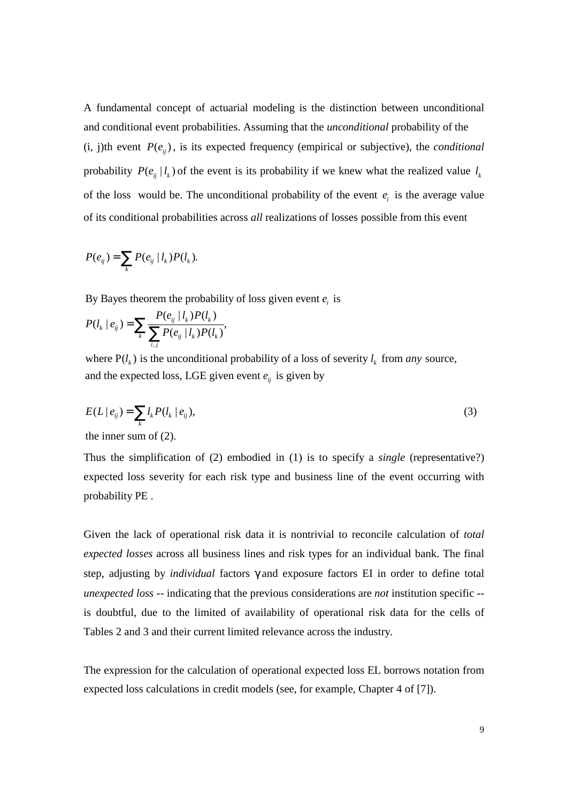A fundamental concept of actuarial modeling is the distinction between unconditional and conditional event probabilities. Assuming that the *unconditional* probability of the  $(i, j)$ th event  $P(e_{ij})$ , is its expected frequency (empirical or subjective), the *conditional* probability  $P(e_{ij} | l_k)$  of the event is its probability if we knew what the realized value  $l_k$ of the loss would be. The unconditional probability of the event  $e_i$  is the average value of its conditional probabilities across *all* realizations of losses possible from this event

$$
P(e_{ij}) = \sum_{k} P(e_{ij} | l_k) P(l_k).
$$

By Bayes theorem the probability of loss given event  $e_i$  is

$$
P(l_k | e_{ij}) = \sum_{k} \frac{P(e_{ij} | l_k) P(l_k)}{\sum_{i,j} P(e_{ij} | l_k) P(l_k)},
$$

where  $P(l_k)$  is the unconditional probability of a loss of severity  $l_k$  from *any* source, and the expected loss, LGE given event  $e_{ij}$  is given by

$$
E(L | e_{ij}) = \sum_{k} l_k P(l_k | e_{ij}), \qquad (3)
$$

the inner s um of (2).

Thus the simplification of (2) embodied in (1) is to specify a *single* (representative?) expected loss severity for each risk type and business line of the event occurring with probability PE .

Given the lack of operational risk data it is nontrivial to reconcile calculation of *total expected losses* across all business lines and risk types for an individual bank. The final step, adjusting by *individual* factors γ and exposure factors EI in order to define total *unexpected loss* -- indicating that the previous considerations are *not* institution specific - is doubtful, due to the limited of availability of operational risk data for the cells of Tables 2 and 3 and their current limited relevance across the industry.

The expression for the calculation of operational expected loss EL borrows notation from expected loss calculations in credit models (see, for example, Chapter 4 of [7]).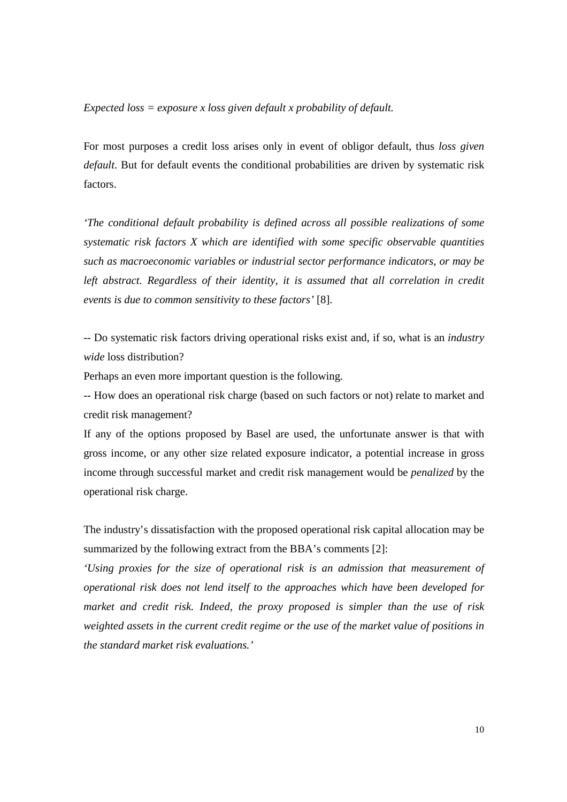*Expected loss = exposure x loss given default x probability of default.*

For most purposes a credit loss arises only in event of obligor default, thus *loss given default*. But for default events the conditional probabilities are driven by systematic risk factors.

*'The conditional default probability is defined across all possible realizations of some systematic risk factors X which are identified with some specific observable quantities such as macroeconomic variables or industrial sector performance indicators, or may be left abstract. Regardless of their identity, it is assumed that all correlation in credit events is due to common sensitivity to these factors'* [8].

-- Do systematic risk factors driving operational risks exist and, if so, what is an *industry wide* loss distribution?

Perhaps an even more important question is the following.

-- How does an operational risk charge (based on such factors or not) relate to market and credit risk management?

If any of the options proposed by Basel are used, the unfortunate answer is that with gross income, or any other size related exposure indicator, a potential increase in gross income through successful market and credit risk management would be *penalized* by the operational risk charge.

The industry's dissatisfaction with the proposed operational risk capital allocation may be summarized by the following extract from the BBA's comments [2]:

*'Using proxies for the size of operational risk is an admission that measurement of operational risk does not lend itself to the approaches which have been developed for market and credit risk. Indeed, the proxy proposed is simpler than the use of risk weighted assets in the current credit regime or the use of the market value of positions in the standard market risk evaluations.'*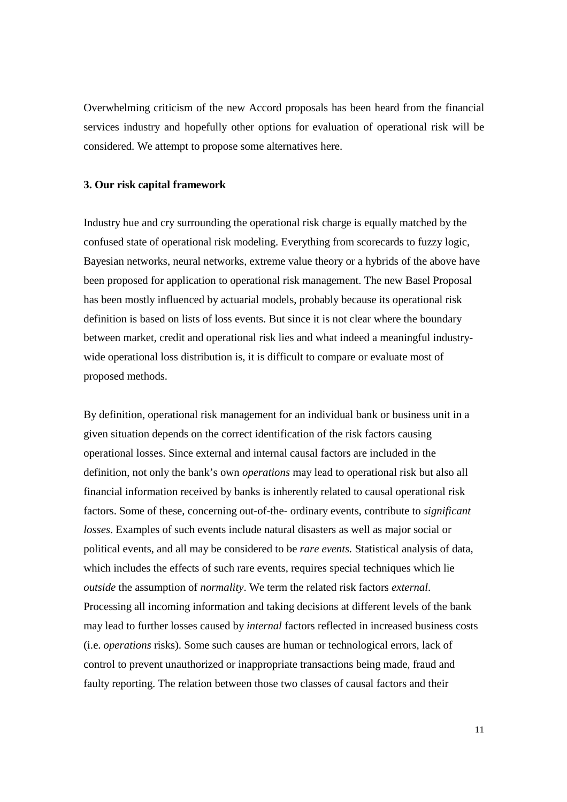Overwhelming criticism of the new Accord proposals has been heard from the financial services industry and hopefully other options for evaluation of operational risk will be considered. We attempt to propose some alternatives here.

## **3. Our risk capital framework**

Industry hue and cry surrounding the operational risk charge is equally matched by the confused state of operational risk modeling. Everything from scorecards to fuzzy logic, Bayesian networks, neural networks, extreme value theory or a hybrids of the above have been proposed for application to operational risk management. The new Basel Proposal has been mostly influenced by actuarial models, probably because its operational risk definition is based on lists of loss events. But since it is not clear where the boundary between market, credit and operational risk lies and what indeed a meaningful industrywide operational loss distribution is, it is difficult to compare or evaluate most of proposed methods.

By definition, operational risk management for an individual bank or business unit in a given situation depends on the correct identification of the risk factors causing operational losses. Since external and internal causal factors are included in the definition, not only the bank's own *operations* may lead to operational risk but also all financial information received by banks is inherently related to causal operational risk factors. Some of these, concerning out-of-the- ordinary events, contribute to *significant losses*. Examples of such events include natural disasters as well as major social or political events, and all may be considered to be *rare events.* Statistical analysis of data, which includes the effects of such rare events, requires special techniques which lie *outside* the assumption of *normality*. We term the related risk factors *external*. Processing all incoming information and taking decisions at different levels of the bank may lead to further losses caused by *internal* factors reflected in increased business costs (i.e. *operations* risks). Some such causes are human or technological errors, lack of control to prevent unauthorized or inappropriate transactions being made, fraud and faulty reporting. The relation between those two classes of causal factors and their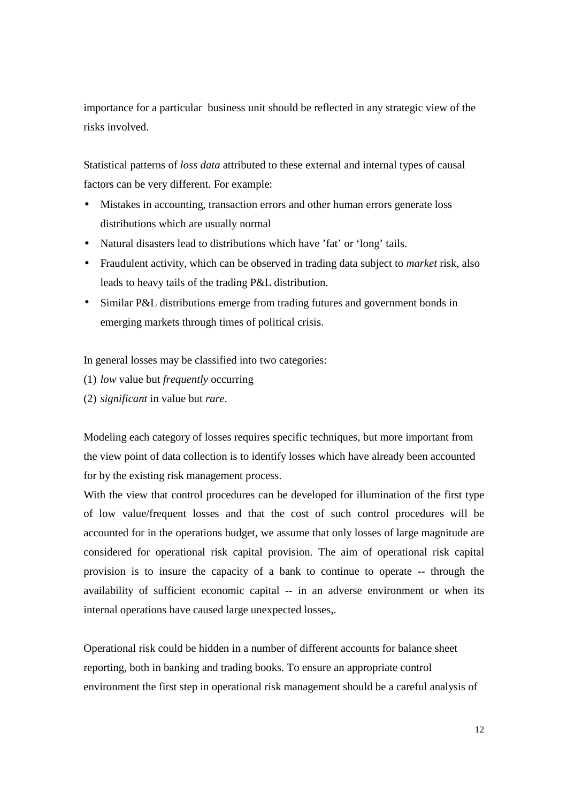importance for a particular business unit should be reflected in any strategic view of the risks involved.

Statistical patterns of *loss data* attributed to these external and internal types of causal factors can be very different. For example:

- Mistakes in accounting, transaction errors and other human errors generate loss distributions which are usually normal
- Natural disasters lead to distributions which have 'fat' or 'long' tails.
- Fraudulent activity, which can be observed in trading data subject to *market* risk, also leads to heavy tails of the trading P&L distribution.
- Similar P&L distributions emerge from trading futures and government bonds in emerging markets through times of political crisis.

In general losses may be classified into two categories:

- (1) *low* value but *frequently* occurring
- (2) *significant* in value but *rare*.

Modeling each category of losses requires specific techniques, but more important from the view point of data collection is to identify losses which have already been accounted for by the existing risk management process.

With the view that control procedures can be developed for illumination of the first type of low value/frequent losses and that the cost of such control procedures will be accounted for in the operations budget, we assume that only losses of large magnitude are considered for operational risk capital provision. The aim of operational risk capital provision is to insure the capacity of a bank to continue to operate -- through the availability of sufficient economic capital -- in an adverse environment or when its internal operations have caused large unexpected losses,.

Operational risk could be hidden in a number of different accounts for balance sheet reporting, both in banking and trading books. To ensure an appropriate control environment the first step in operational risk management should be a careful analysis of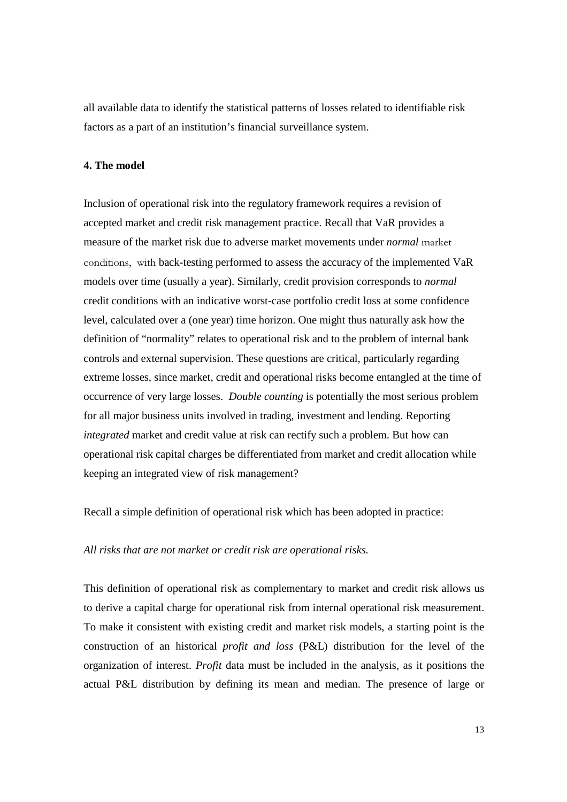all available data to identify the statistical patterns of losses related to identifiable risk factors as a part of an institution's financial surveillance system.

## **4. The model**

Inclusion of operational risk into the regulatory framework requires a revision of accepted market and credit risk management practice. Recall that VaR provides a measure of the market risk due to adverse market movements under *normal* market conditions, with back-testing performed to assess the accuracy of the implemented VaR models over time (usually a year). Similarly, credit provision corresponds to *normal* credit conditions with an indicative worst-case portfolio credit loss at some confidence level, calculated over a (one year) time horizon. One might thus naturally ask how the definition of "normality" relates to operational risk and to the problem of internal bank controls and external supervision. These questions are critical, particularly regarding extreme losses, since market, credit and operational risks become entangled at the time of occurrence of very large losses. *Double counting* is potentially the most serious problem for all major business units involved in trading, investment and lending. Reporting *integrated* market and credit value at risk can rectify such a problem. But how can operational risk capital charges be differentiated from market and credit allocation while keeping an integrated view of risk management?

Recall a simple definition of operational risk which has been adopted in practice:

#### *All risks that are not market or credit risk are operational risks.*

This definition of operational risk as complementary to market and credit risk allows us to derive a capital charge for operational risk from internal operational risk measurement. To make it consistent with existing credit and market risk models, a starting point is the construction of an historical *profit and loss* (P&L) distribution for the level of the organization of interest. *Profit* data must be included in the analysis, as it positions the actual P&L distribution by defining its mean and median. The presence of large or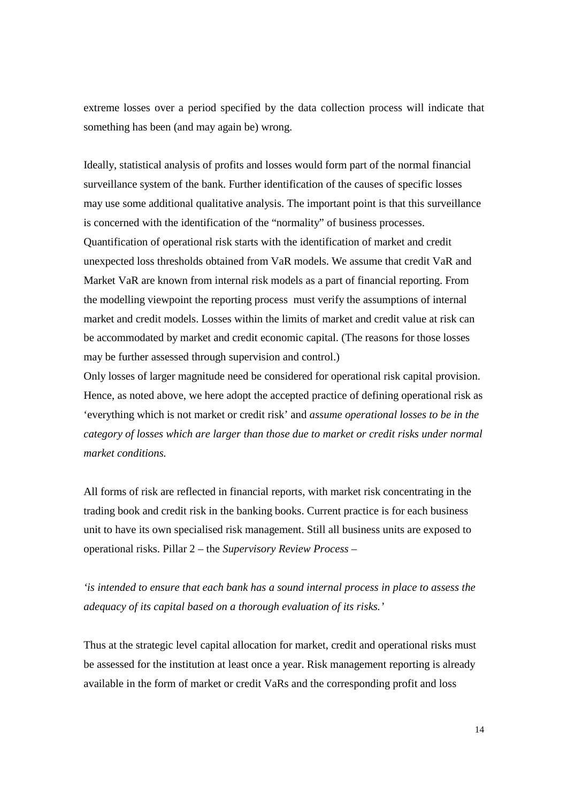extreme losses over a period specified by the data collection process will indicate that something has been (and may again be) wrong.

Ideally, statistical analysis of profits and losses would form part of the normal financial surveillance system of the bank. Further identification of the causes of specific losses may use some additional qualitative analysis. The important point is that this surveillance is concerned with the identification of the "normality" of business processes. Quantification of operational risk starts with the identification of market and credit unexpected loss thresholds obtained from VaR models. We assume that credit VaR and Market VaR are known from internal risk models as a part of financial reporting. From the modelling viewpoint the reporting process must verify the assumptions of internal market and credit models. Losses within the limits of market and credit value at risk can be accommodated by market and credit economic capital. (The reasons for those losses may be further assessed through supervision and control.)

Only losses of larger magnitude need be considered for operational risk capital provision. Hence, as noted above, we here adopt the accepted practice of defining operational risk as 'everything which is not market or credit risk' and *assume operational losses to be in the category of losses which are larger than those due to market or credit risks under normal market conditions.*

All forms of risk are reflected in financial reports, with market risk concentrating in the trading book and credit risk in the banking books. Current practice is for each business unit to have its own specialised risk management. Still all business units are exposed to operational risks. Pillar 2 – the *Supervisory Review Process* –

*'is intended to ensure that each bank has a sound internal process in place to assess the adequacy of its capital based on a thorough evaluation of its risks.'*

Thus at the strategic level capital allocation for market, credit and operational risks must be assessed for the institution at least once a year. Risk management reporting is already available in the form of market or credit VaRs and the corresponding profit and loss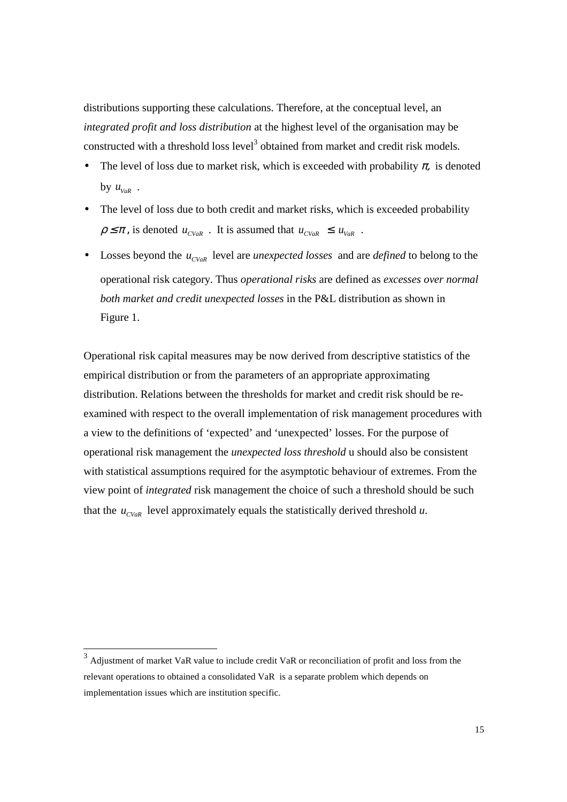distributions supporting these calculations. Therefore, at the conceptual level, an *integrated profit and loss distribution* at the highest level of the organisation may be constructed with a threshold loss level<sup>3</sup> obtained from market and credit risk models.

- The level of loss due to market risk, which is exceeded with probability  $\pi$ , is denoted by  $u_{\text{v}_{aR}}$  .
- The level of loss due to both credit and market risks, which is exceeded probability  $\rho \leq \pi$ , is denoted  $u_{\text{cv}_aR}$ . It is assumed that  $u_{\text{cv}_aR} \leq u_{\text{v}_aR}$ .
- Losses beyond the  $u_{CVaR}$  level are *unexpected losses* and are *defined* to belong to the operational risk category. Thus *operational risks* are defined as *excesses over normal both market and credit unexpected losses* in the P&L distribution as shown in Figure 1.

Operational risk capital measures may be now derived from descriptive statistics of the empirical distribution or from the parameters of an appropriate approximating distribution. Relations between the thresholds for market and credit risk should be reexamined with respect to the overall implementation of risk management procedures with a view to the definitions of 'expected' and 'unexpected' losses. For the purpose of operational risk management the *unexpected loss threshold* u should also be consistent with statistical assumptions required for the asymptotic behaviour of extremes. From the view point of *integrated* risk management the choice of such a threshold should be such that the  $u_{\text{CVaR}}$  level approximately equals the statistically derived threshold  $u$ .

 $\overline{a}$ 

 $3$  Adjustment of market VaR value to include credit VaR or reconciliation of profit and loss from the relevant operations to obtained a consolidated VaR is a separate problem which depends on implementation issues which are institution specific.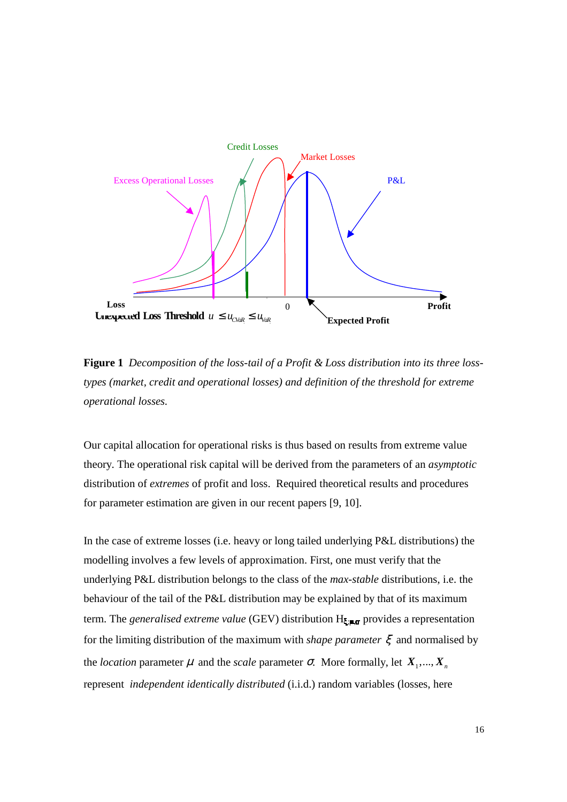

**Figure 1** *Decomposition of the loss-tail of a Profit & Loss distribution into its three losstypes (market, credit and operational losses) and definition of the threshold for extreme operational losses.*

Our capital allocation for operational risks is thus based on results from extreme value theory. The operational risk capital will be derived from the parameters of an *asymptotic* distribution of *extremes* of profit and loss. Required theoretical results and procedures for parameter estimation are given in our recent papers [9, 10].

In the case of extreme losses (i.e. heavy or long tailed underlying P&L distributions) the modelling involves a few levels of approximation. First, one must verify that the underlying P&L distribution belongs to the class of the *max-stable* distributions, i.e. the behaviour of the tail of the P&L distribution may be explained by that of its maximum term. The *generalised extreme value* (GEV) distribution  $H_{\zeta,\blacksquare,\blacksquare}$  provides a representation for the limiting distribution of the maximum with *shape parameter* ξ and normalised by the *location* parameter  $\mu$  and the *scale* parameter  $\sigma$ . More formally, let  $X_1, ..., X_n$ represent *independent identically distributed* (i.i.d.) random variables (losses, here

16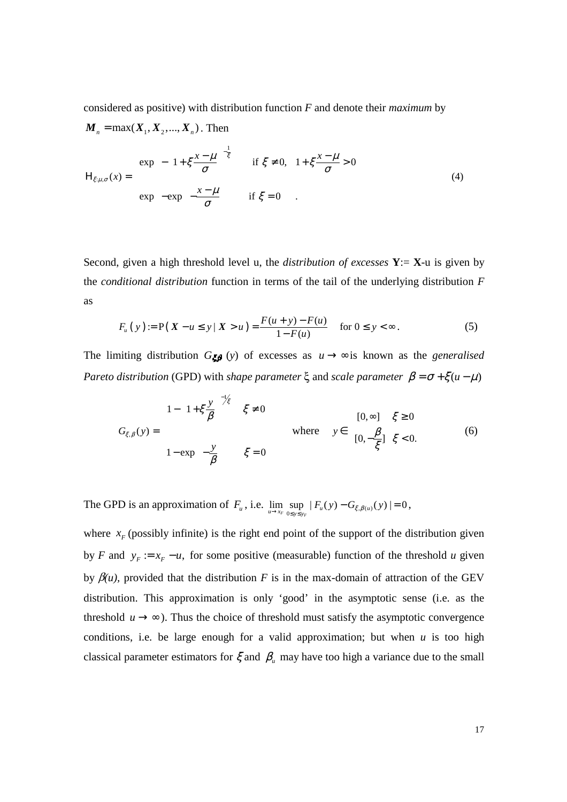considered as positive) with distribution function *F* and denote their *maximum* by

 $m = \frac{1}{2}$ 

 $\overline{r}$   $\overline{r}$   $\overline{r}$ 

$$
\boldsymbol{M}_n = \max(\boldsymbol{X}_1, \boldsymbol{X}_2, ..., \boldsymbol{X}_n). \text{ Then}
$$
\n
$$
H_{\xi:\mu,\sigma}(\boldsymbol{x}) = \begin{cases} \exp\left[-\left(1 + \xi \frac{\boldsymbol{x} - \mu}{\sigma}\right)^{-\frac{1}{\xi}}\right] & \text{if } \xi \neq 0, \quad 1 + \xi \frac{\boldsymbol{x} - \mu}{\sigma} > 0\\ \exp\left[-\exp\left(-\frac{\boldsymbol{x} - \mu}{\sigma}\right)\right] & \text{if } \xi = 0 \end{cases}
$$
\n(4)

Second, given a high threshold level u, the *distribution of excesses* **Y**:= **X**-u is given by the *conditional distribution* function in terms of the tail of the underlying distribution *F* as

$$
F_u(y) := P(X - u \le y | X > u) = \frac{F(u + y) - F(u)}{1 - F(u)} \quad \text{for } 0 \le y < \infty.
$$
 (5)

The limiting distribution  $G_{\mathcal{L}} \mathfrak{g}$  (*y*) of excesses as  $u \rightarrow \infty$  is known as the *generalised Pareto distribution* (GPD) with *shape parameter*  $\xi$  and *scale parameter*  $\beta = \sigma + \xi(u - \mu)$ 

$$
G_{\xi,\beta}(y) = \begin{cases} 1 - \left(1 + \xi \frac{y}{\beta}\right)^{-1/\xi} & \xi \neq 0 \\ 1 - \exp\left(-\frac{y}{\beta}\right) & \xi = 0 \end{cases} \qquad \text{where} \qquad y \in \begin{cases} [0, \infty] & \xi \ge 0 \\ [0, -\frac{\beta}{\xi}] & \xi < 0. \end{cases} \tag{6}
$$

The GPD is an approximation of  $F_u$ , i.e.  $\lim_{u \to x_F} \sup_{0 \le y \le y_F} |F_u(y) - G_{\xi, \beta(u)}(y)| = 0$ ,

where  $x_F$  (possibly infinite) is the right end point of the support of the distribution given by *F* and  $y_F := x_F - u$ , for some positive (measurable) function of the threshold *u* given by  $\beta(u)$ , provided that the distribution *F* is in the max-domain of attraction of the GEV distribution. This approximation is only 'good' in the asymptotic sense (i.e. as the threshold  $u \rightarrow \infty$ ). Thus the choice of threshold must satisfy the asymptotic convergence conditions, i.e. be large enough for a valid approximation; but when *u* is too high classical parameter estimators for  $\xi$  and  $\beta$ <sub>u</sub> may have too high a variance due to the small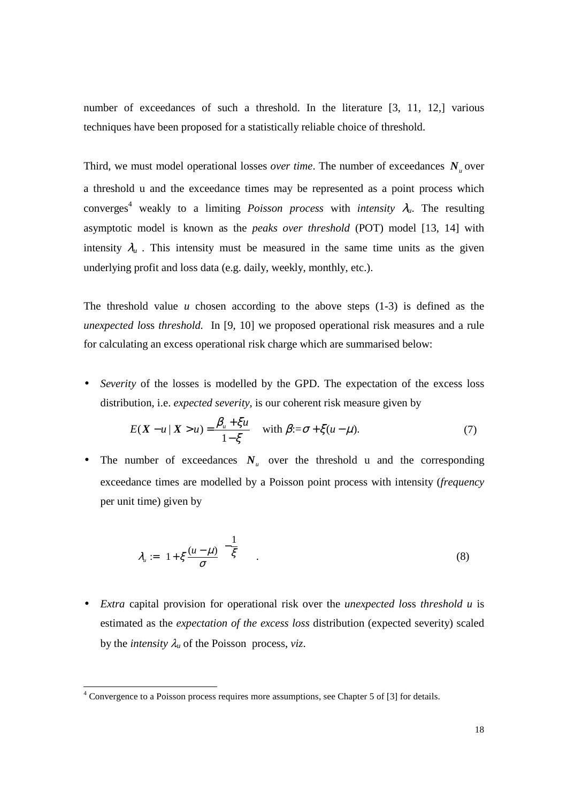number of exceedances of such a threshold. In the literature [3, 11, 12,] various techniques have been proposed for a statistically reliable choice of threshold.

Third, we must model operational losses *over time*. The number of exceedances  $N_{\mu}$  over a threshold u and the exceedance times may be represented as a point process which converges 4 weakly to a limiting *Poisson process* with *intensity* λ*u*. The resulting asymptotic model is known as the *peaks over threshold* (POT) model [13, 14] with intensity  $\lambda_u$ . This intensity must be measured in the same time units as the given underlying profit and loss data (e.g. daily, weekly, monthly, etc.).

The threshold value  $u$  chosen according to the above steps  $(1-3)$  is defined as the *unexpected los*s *threshold.* In [9, 10] we proposed operational risk measures and a rule for calculating an excess operational risk charge which are summarised below:

• *Severity* of the losses is modelled by the GPD. The expectation of the excess loss distribution, i.e. *expected severity,* is our coherent risk measure given by

$$
E(X - u \mid X > u) = \frac{\beta_u + \xi u}{1 - \xi} \quad \text{with } \beta := \sigma + \xi (u - \mu). \tag{7}
$$

• The number of exceedances  $N_u$  over the threshold u and the corresponding exceedance times are modelled by a Poisson point process with intensity (*frequency* per unit time) given by

$$
\lambda_u := \left(1 + \xi \frac{(u - \mu)}{\sigma}\right)^{-\frac{1}{\xi}} \tag{8}
$$

• *Extra* capital provision for operational risk over the *unexpected los*s *threshold u* is estimated as the *expectation of the excess loss* distribution (expected severity) scaled by the *intensity*  $\lambda_u$  of the Poisson process, *viz*.

 $\overline{a}$ 

 $4$  Convergence to a Poisson process requires more assumptions, see Chapter 5 of [3] for details.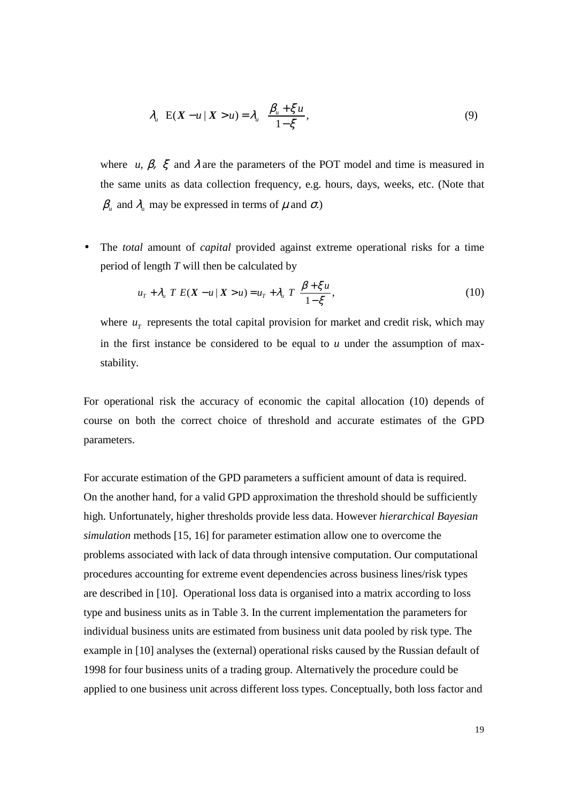$$
\lambda_{u} \mathbf{E}(X - u \mid X > u) = \lambda_{u} \frac{\beta_{u} + \xi u}{1 - \xi}, \qquad (9)
$$

where *u*,  $\beta$ ,  $\xi$  and  $\lambda$  are the parameters of the POT model and time is measured in the same units as data collection frequency, e.g. hours, days, weeks, etc. (Note that  $\beta_{\mu}$  and  $\lambda_{\mu}$  may be expressed in terms of  $\mu$  and  $\sigma$ .)

• The *total* amount of *capital* provided against extreme operational risks for a time period of length *T* will then be calculated by

$$
u_{\tau} + \lambda_{\mu} T E(X - u | X > u) = u_{\tau} + \lambda_{\mu} T \frac{\beta + \xi u}{1 - \xi},
$$
\n
$$
(10)
$$

where  $u<sub>T</sub>$  represents the total capital provision for market and credit risk, which may in the first instance be considered to be equal to  $u$  under the assumption of maxstability.

For operational risk the accuracy of economic the capital allocation (10) depends of course on both the correct choice of threshold and accurate estimates of the GPD parameters.

For accurate estimation of the GPD parameters a sufficient amount of data is required. On the another hand, for a valid GPD approximation the threshold should be sufficiently high. Unfortunately, higher thresholds provide less data. However *hierarchical Bayesian simulation* methods [15, 16] for parameter estimation allow one to overcome the problems associated with lack of data through intensive computation. Our computational procedures accounting for extreme event dependencies across business lines/risk types are described in [10]. Operational loss data is organised into a matrix according to loss type and business units as in Table 3. In the current implementation the parameters for individual business units are estimated from business unit data pooled by risk type. The example in [10] analyses the (external) operational risks caused by the Russian default of 1998 for four business units of a trading group. Alternatively the procedure could be applied to one business unit across different loss types. Conceptually, both loss factor and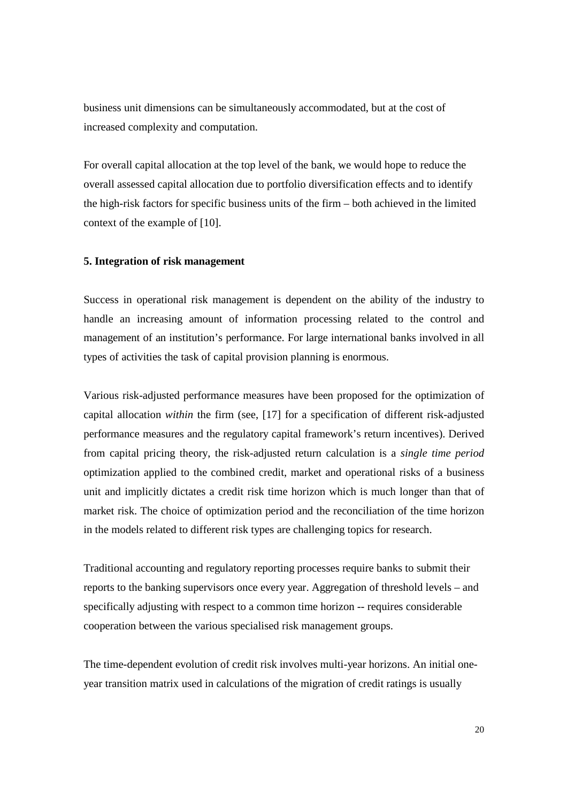business unit dimensions can be simultaneously accommodated, but at the cost of increased complexity and computation.

For overall capital allocation at the top level of the bank, we would hope to reduce the overall assessed capital allocation due to portfolio diversification effects and to identify the high-risk factors for specific business units of the firm – both achieved in the limited context of the example of [10].

#### **5. Integration of risk management**

Success in operational risk management is dependent on the ability of the industry to handle an increasing amount of information processing related to the control and management of an institution's performance. For large international banks involved in all types of activities the task of capital provision planning is enormous.

Various risk-adjusted performance measures have been proposed for the optimization of capital allocation *within* the firm (see, [17] for a specification of different risk-adjusted performance measures and the regulatory capital framework's return incentives). Derived from capital pricing theory, the risk-adjusted return calculation is a *single time period* optimization applied to the combined credit, market and operational risks of a business unit and implicitly dictates a credit risk time horizon which is much longer than that of market risk. The choice of optimization period and the reconciliation of the time horizon in the models related to different risk types are challenging topics for research.

Traditional accounting and regulatory reporting processes require banks to submit their reports to the banking supervisors once every year. Aggregation of threshold levels – and specifically adjusting with respect to a common time horizon -- requires considerable cooperation between the various specialised risk management groups.

The time-dependent evolution of credit risk involves multi-year horizons. An initial oneyear transition matrix used in calculations of the migration of credit ratings is usually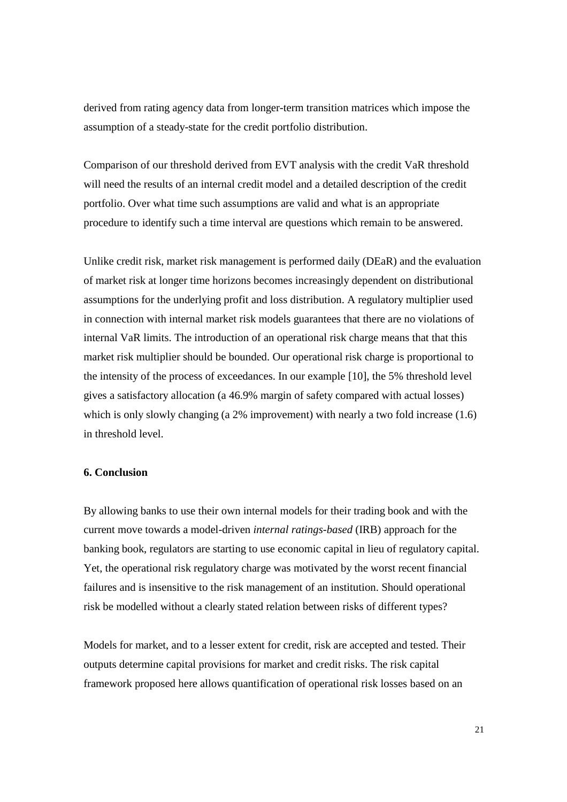derived from rating agency data from longer-term transition matrices which impose the assumption of a steady-state for the credit portfolio distribution.

Comparison of our threshold derived from EVT analysis with the credit VaR threshold will need the results of an internal credit model and a detailed description of the credit portfolio. Over what time such assumptions are valid and what is an appropriate procedure to identify such a time interval are questions which remain to be answered.

Unlike credit risk, market risk management is performed daily (DEaR) and the evaluation of market risk at longer time horizons becomes increasingly dependent on distributional assumptions for the underlying profit and loss distribution. A regulatory multiplier used in connection with internal market risk models guarantees that there are no violations of internal VaR limits. The introduction of an operational risk charge means that that this market risk multiplier should be bounded. Our operational risk charge is proportional to the intensity of the process of exceedances. In our example [10], the 5% threshold level gives a satisfactory allocation (a 46.9% margin of safety compared with actual losses) which is only slowly changing (a 2% improvement) with nearly a two fold increase (1.6) in threshold level.

#### **6. Conclusion**

By allowing banks to use their own internal models for their trading book and with the current move towards a model-driven *internal ratings-based* (IRB) approach for the banking book, regulators are starting to use economic capital in lieu of regulatory capital. Yet, the operational risk regulatory charge was motivated by the worst recent financial failures and is insensitive to the risk management of an institution. Should operational risk be modelled without a clearly stated relation between risks of different types?

Models for market, and to a lesser extent for credit, risk are accepted and tested. Their outputs determine capital provisions for market and credit risks. The risk capital framework proposed here allows quantification of operational risk losses based on an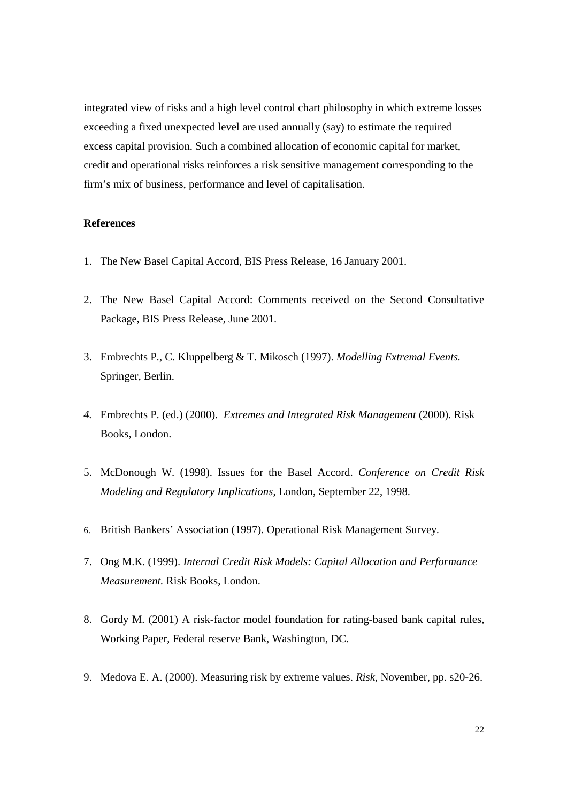integrated view of risks and a high level control chart philosophy in which extreme losses exceeding a fixed unexpected level are used annually (say) to estimate the required excess capital provision. Such a combined allocation of economic capital for market, credit and operational risks reinforces a risk sensitive management corresponding to the firm's mix of business, performance and level of capitalisation.

## **References**

- 1. The New Basel Capital Accord, BIS Press Release, 16 January 2001.
- 2. The New Basel Capital Accord: Comments received on the Second Consultative Package, BIS Press Release, June 2001.
- 3. Embrechts P., C. Kluppelberg & T. Mikosch (1997). *Modelling Extremal Events.* Springer, Berlin.
- *4.* Embrechts P. (ed.) (2000). *Extremes and Integrated Risk Management* (2000)*.* Risk Books, London.
- 5. McDonough W. (1998). Issues for the Basel Accord. *Conference on Credit Risk Modeling and Regulatory Implications*, London, September 22, 1998.
- 6. British Bankers' Association (1997). Operational Risk Management Survey.
- 7. Ong M.K. (1999). *Internal Credit Risk Models: Capital Allocation and Performance Measurement.* Risk Books, London.
- 8. Gordy M. (2001) A risk-factor model foundation for rating-based bank capital rules, Working Paper, Federal reserve Bank, Washington, DC.
- 9. Medova E. A. (2000). Measuring risk by extreme values. *Risk*, November, pp. s20-26.